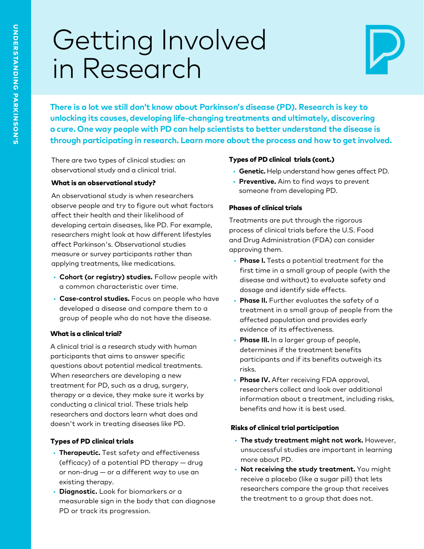# Getting Involved<br>in Research



There is a lot we still don't know about Parkinson's disease (PD). Research is key to **X** unlocking its causes, developing life-changing treatments and ultimately, discovering<br>a cure. One way people with PD can help scientists to better understand the disease is through participating in research. Learn more about the process and how to get involved.

There are two types of clinical studies: an observational study and a clinical trial.

## What is an observational study?

An observational study is when researchers observe people and try to figure out what factors affect their health and their likelihood of developing certain diseases, like PD. For example,<br>researchers might look at how different lifestyles<br>affect Parkinson's. Observational studies<br>measure or survey participants rather than applying treatments, like medications.

- **Cohort (or registry) studies.** Follow people with a common characteristic over time.
- **Case-control studies.** Focus on people who have developed a disease and compare them to a group of people who do not have the disease.

## What is a clinical trial?

A clinical trial is a research study with human<br>participants that aims to answer specific questions about potential medical treatments. When researchers are developing a new treatment for PD, such as a drug, surgery, therapy or a device, they make sure it works by conducting a clinical trial. These trials help UHRUGDERHY GRINDONG GRAFING. THESE GROIS HEIP<br>Tesearchers and doctors learn what does and<br>doesn't work in treating diseases like PD.

## Types of PD clinical trials

- **Therapeutic.** Test safety and effectiveness<br>(efficacy) of a potential PD therapy drug or non-drug  $-$  or a different way to use an existing therapy.
- **Diagnostic.** Look for biomarkers or a measurable sign in the body that can diagnose PD or track its progression.

## Types of PD clinical trials (cont.)

- Genetic. Help understand how genes affect PD.
- **Preventive.** Aim to find ways to prevent someone from developing PD.

## Phases of clinical trials

Treatments are put through the rigorous process of clinical trials before the U.S. Food<br>and Drug Administration (FDA) can consider approving them.

- **Phase I.** Tests a potential treatment for the first time in a small group of people (with the disease and without) to evaluate safety and dosage and identify side effects.
- **Phase II.** Further evaluates the safety of a treatment in a small group of people from the affected population and provides early evidence of its effectiveness.
- **Phase III.** In a larger group of people, determines if the treatment benefits participants and if its benefits outweigh its risks.
- **Phase IV.** After receiving FDA approval, researchers collect and look over additional information about a treatment, including risks, benefits and how it is best used.

## Risks of clinical trial participation

- The study treatment might not work. However, unsuccessful studies are important in learning<br>more about PD.
- **Not receiving the study treatment.** You might receive a placebo (like a sugar pill) that lets researchers compare the group that receives the treatment to a group that does not.